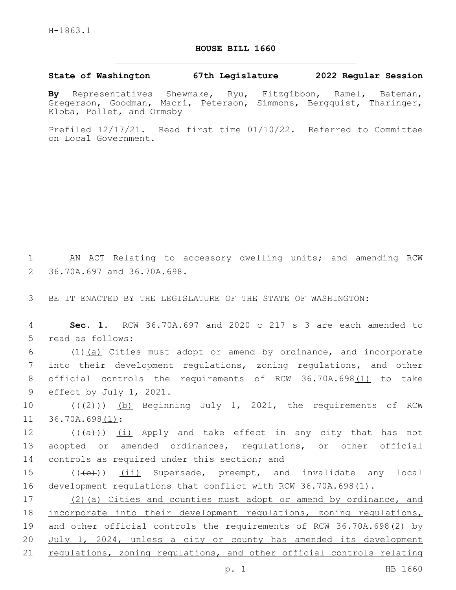## **HOUSE BILL 1660**

## **State of Washington 67th Legislature 2022 Regular Session**

**By** Representatives Shewmake, Ryu, Fitzgibbon, Ramel, Bateman, Gregerson, Goodman, Macri, Peterson, Simmons, Bergquist, Tharinger, Kloba, Pollet, and Ormsby

Prefiled 12/17/21. Read first time 01/10/22. Referred to Committee on Local Government.

1 AN ACT Relating to accessory dwelling units; and amending RCW 36.70A.697 and 36.70A.698.2

3 BE IT ENACTED BY THE LEGISLATURE OF THE STATE OF WASHINGTON:

4 **Sec. 1.** RCW 36.70A.697 and 2020 c 217 s 3 are each amended to 5 read as follows:

 $(1)$   $(a)$  Cities must adopt or amend by ordinance, and incorporate into their development regulations, zoning regulations, and other official controls the requirements of RCW 36.70A.698(1) to take 9 effect by July 1, 2021.

10 (((2))) (b) Beginning July 1, 2021, the requirements of RCW 11 36.70A.698(1):

12 ((<del>(a)</del>)) <u>(i)</u> Apply and take effect in any city that has not 13 adopted or amended ordinances, regulations, or other official 14 controls as required under this section; and

15 (((b)) (ii) Supersede, preempt, and invalidate any local 16 development regulations that conflict with RCW 36.70A.698(1).

17 (2)(a) Cities and counties must adopt or amend by ordinance, and 18 incorporate into their development regulations, zoning regulations, 19 and other official controls the requirements of RCW 36.70A.698(2) by 20 July 1, 2024, unless a city or county has amended its development 21 regulations, zoning regulations, and other official controls relating

p. 1 HB 1660